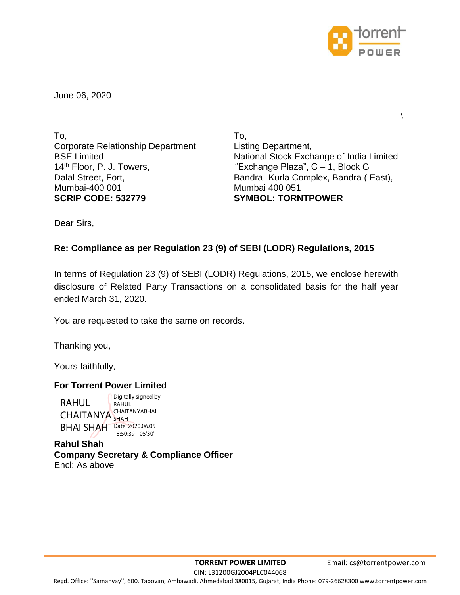

 $\setminus$ 

June 06, 2020

To, Corporate Relationship Department BSE Limited 14<sup>th</sup> Floor, P. J. Towers, Dalal Street, Fort, Mumbai-400 001 **SCRIP CODE: 532779**

To, Listing Department, National Stock Exchange of India Limited "Exchange Plaza", C – 1, Block G Bandra- Kurla Complex, Bandra ( East), Mumbai 400 051 **SYMBOL: TORNTPOWER**

Dear Sirs,

# **Re: Compliance as per Regulation 23 (9) of SEBI (LODR) Regulations, 2015**

In terms of Regulation 23 (9) of SEBI (LODR) Regulations, 2015, we enclose herewith disclosure of Related Party Transactions on a consolidated basis for the half year ended March 31, 2020.

You are requested to take the same on records.

Thanking you,

Yours faithfully,

## **For Torrent Power Limited**

RAHUL CHAITANYA CHAITANYABHAI BHAI SHAH Date: 2020.06.05 Digitally signed by RAHUL SHAH 18:50:39 +05'30'

**Rahul Shah Company Secretary & Compliance Officer** Encl: As above

CIN: L31200GJ2004PLC044068

Regd. Office: ''Samanvay'', 600, Tapovan, Ambawadi, Ahmedabad 380015, Gujarat, India Phone: 079-26628300 www.torrentpower.com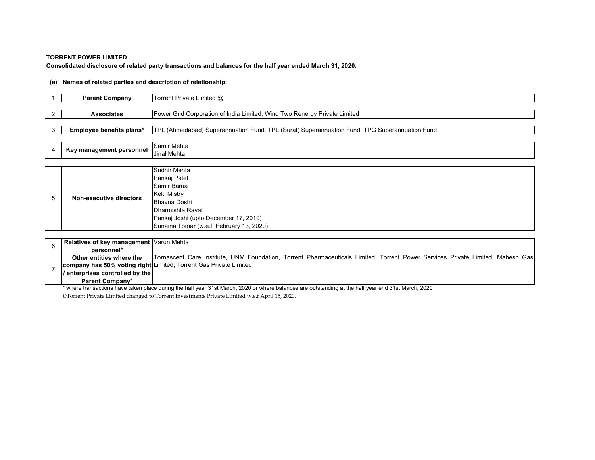#### **TORRENT POWER LIMITED**

**Consolidated disclosure of related party transactions and balances for the half year ended March 31, 2020.**

### **(a) Names of related parties and description of relationship:**

|   | <b>Parent Company</b>                   | Torrent Private Limited @                                                                     |
|---|-----------------------------------------|-----------------------------------------------------------------------------------------------|
|   |                                         |                                                                                               |
|   | <b>Associates</b>                       | Power Grid Corporation of India Limited, Wind Two Renergy Private Limited                     |
|   |                                         |                                                                                               |
| 3 | Employee benefits plans*                | TPL (Ahmedabad) Superannuation Fund, TPL (Surat) Superannuation Fund, TPG Superannuation Fund |
|   |                                         |                                                                                               |
| 4 | Key management personnel                | Samir Mehta                                                                                   |
|   |                                         | Jinal Mehta                                                                                   |
|   |                                         |                                                                                               |
|   | <b>Non-executive directors</b>          | Sudhir Mehta                                                                                  |
|   |                                         | Pankaj Patel                                                                                  |
|   |                                         | Samir Barua                                                                                   |
| 5 |                                         | Keki Mistry                                                                                   |
|   |                                         | Bhavna Doshi                                                                                  |
|   |                                         | Dharmishta Raval                                                                              |
|   |                                         | Pankaj Joshi (upto December 17, 2019)                                                         |
|   |                                         | Sunaina Tomar (w.e.f. February 13, 2020)                                                      |
|   |                                         |                                                                                               |
| 6 | Relatives of key management Varun Mehta |                                                                                               |

| Relatives of key management   Varun Mehta                         |   |                                                                                                                                |          |   |   |          |  |  |
|-------------------------------------------------------------------|---|--------------------------------------------------------------------------------------------------------------------------------|----------|---|---|----------|--|--|
| personnel*                                                        |   |                                                                                                                                |          |   |   |          |  |  |
| Other entities where the                                          |   | Tornascent Care Institute, UNM Foundation, Torrent Pharmaceuticals Limited, Torrent Power Services Private Limited, Mahesh Gas |          |   |   |          |  |  |
| company has 50% voting right Limited, Torrent Gas Private Limited |   |                                                                                                                                |          |   |   |          |  |  |
| / enterprises controlled by the                                   |   |                                                                                                                                |          |   |   |          |  |  |
| <b>Parent Company*</b>                                            |   |                                                                                                                                |          |   |   |          |  |  |
|                                                                   | . | $\cdots$                                                                                                                       | $\cdots$ | . | . | $\cdots$ |  |  |

\* where transactions have taken place during the half year 31st March, 2020 or where balances are outstanding at the half year end 31st March, 2020

@Torrent Private Limited changed to Torrent Investments Private Limited w.e.f April 15, 2020.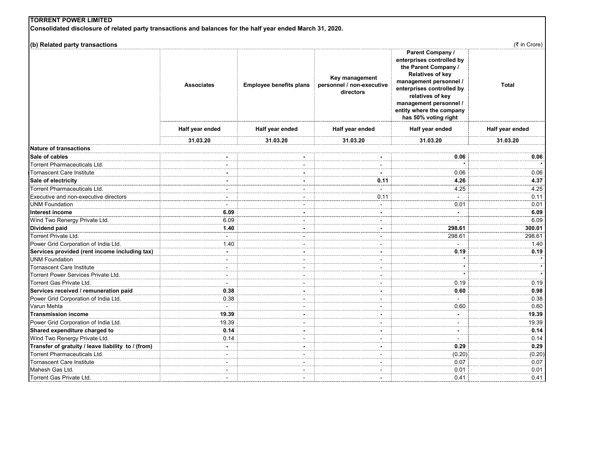| Consolidated disclosure of related party transactions and balances for the half year ended March 31, 2020.<br>Parent Company /<br>enterprises controlled by<br>the Parent Company /<br>Relatives of key<br>Key management<br>management personnel /<br>personnel / non-executive<br><b>Associates</b><br><b>Employee benefits plans</b><br>Total<br>enterprises controlled by<br>directors<br>relatives of key<br>management personnel /<br>entity where the company<br>has 50% voting right<br>Half year ended<br>Half year ended<br>Half year ended<br>Half year ended<br>Half year ended<br>31.03.20<br>31.03.20<br>31.03.20<br>31.03.20<br>31.03.20<br><b>Nature of transactions</b><br>Sale of cables<br>0.06<br>0.06<br><b>Torrent Pharmaceuticals Ltd.</b><br>Tornascent Care Institute<br>0.06<br>0.06<br>Sale of electricity<br>4.26<br>4.37<br>0.11<br>Torrent Pharmaceuticals Ltd.<br>4.25<br>4.25<br>$\sim$<br>$\sim$<br>Executive and non-executive directors<br>0.11<br>0.11<br><b>UNM Foundation</b><br>0.01<br>0.01<br>$\mathbf{r}$<br>Interest income<br>6.09<br>6.09<br>$\blacksquare$<br>Wind Two Renergy Private Ltd.<br>6.09<br>6.09<br>Dividend paid<br>300.01<br>1.40<br>298.61<br>$\blacksquare$<br>$\blacksquare$<br>Torrent Private Ltd.<br>298.61<br>298.61<br>Power Grid Corporation of India Ltd.<br>1.40<br>1.40<br>Services provided (rent income including tax)<br>0.19<br>0.19<br>$\sim$<br>$\blacksquare$<br>$\blacksquare$<br><b>UNM Foundation</b><br><b>Tornascent Care Institute</b><br>$\blacksquare$<br>۰<br>Torrent Power Services Private Ltd.<br>Torrent Gas Private Ltd.<br>0.19<br>0.19<br>Services received / remuneration paid<br>0.98<br>0.38<br>0.60<br>Power Grid Corporation of India Ltd.<br>0.38<br>0.38<br>Varun Mehta<br>0.60<br>0.60<br>19.39<br>19.39<br><b>Transmission income</b><br>$\overline{\phantom{a}}$<br>$\sim$<br>19.39<br>19.39<br>Power Grid Corporation of India Ltd.<br>Shared expenditure charged to<br>0.14<br>0.14<br>$\sim$<br>Wind Two Renergy Private Ltd.<br>0.14<br>0.14<br>Transfer of gratuity / leave liability to / (from)<br>0.29<br>0.29<br>$\overline{\phantom{0}}$<br>$\blacksquare$<br>$\blacksquare$<br>Torrent Pharmaceuticals Ltd.<br>(0.20)<br>(0.20)<br>Tornascent Care Institute<br>0.07<br>0.07<br>Mahesh Gas Ltd.<br>0.01<br>Torrent Gas Private Ltd.<br>0.41 | <b>TORRENT POWER LIMITED</b>   |  |  |              |  |
|----------------------------------------------------------------------------------------------------------------------------------------------------------------------------------------------------------------------------------------------------------------------------------------------------------------------------------------------------------------------------------------------------------------------------------------------------------------------------------------------------------------------------------------------------------------------------------------------------------------------------------------------------------------------------------------------------------------------------------------------------------------------------------------------------------------------------------------------------------------------------------------------------------------------------------------------------------------------------------------------------------------------------------------------------------------------------------------------------------------------------------------------------------------------------------------------------------------------------------------------------------------------------------------------------------------------------------------------------------------------------------------------------------------------------------------------------------------------------------------------------------------------------------------------------------------------------------------------------------------------------------------------------------------------------------------------------------------------------------------------------------------------------------------------------------------------------------------------------------------------------------------------------------------------------------------------------------------------------------------------------------------------------------------------------------------------------------------------------------------------------------------------------------------------------------------------------------------------------------------------------------------------------------------------------------------------------------------------------------------|--------------------------------|--|--|--------------|--|
|                                                                                                                                                                                                                                                                                                                                                                                                                                                                                                                                                                                                                                                                                                                                                                                                                                                                                                                                                                                                                                                                                                                                                                                                                                                                                                                                                                                                                                                                                                                                                                                                                                                                                                                                                                                                                                                                                                                                                                                                                                                                                                                                                                                                                                                                                                                                                                |                                |  |  |              |  |
|                                                                                                                                                                                                                                                                                                                                                                                                                                                                                                                                                                                                                                                                                                                                                                                                                                                                                                                                                                                                                                                                                                                                                                                                                                                                                                                                                                                                                                                                                                                                                                                                                                                                                                                                                                                                                                                                                                                                                                                                                                                                                                                                                                                                                                                                                                                                                                | (b) Related party transactions |  |  | (₹ in Crore) |  |
|                                                                                                                                                                                                                                                                                                                                                                                                                                                                                                                                                                                                                                                                                                                                                                                                                                                                                                                                                                                                                                                                                                                                                                                                                                                                                                                                                                                                                                                                                                                                                                                                                                                                                                                                                                                                                                                                                                                                                                                                                                                                                                                                                                                                                                                                                                                                                                |                                |  |  |              |  |
|                                                                                                                                                                                                                                                                                                                                                                                                                                                                                                                                                                                                                                                                                                                                                                                                                                                                                                                                                                                                                                                                                                                                                                                                                                                                                                                                                                                                                                                                                                                                                                                                                                                                                                                                                                                                                                                                                                                                                                                                                                                                                                                                                                                                                                                                                                                                                                |                                |  |  |              |  |
|                                                                                                                                                                                                                                                                                                                                                                                                                                                                                                                                                                                                                                                                                                                                                                                                                                                                                                                                                                                                                                                                                                                                                                                                                                                                                                                                                                                                                                                                                                                                                                                                                                                                                                                                                                                                                                                                                                                                                                                                                                                                                                                                                                                                                                                                                                                                                                |                                |  |  |              |  |
|                                                                                                                                                                                                                                                                                                                                                                                                                                                                                                                                                                                                                                                                                                                                                                                                                                                                                                                                                                                                                                                                                                                                                                                                                                                                                                                                                                                                                                                                                                                                                                                                                                                                                                                                                                                                                                                                                                                                                                                                                                                                                                                                                                                                                                                                                                                                                                |                                |  |  |              |  |
|                                                                                                                                                                                                                                                                                                                                                                                                                                                                                                                                                                                                                                                                                                                                                                                                                                                                                                                                                                                                                                                                                                                                                                                                                                                                                                                                                                                                                                                                                                                                                                                                                                                                                                                                                                                                                                                                                                                                                                                                                                                                                                                                                                                                                                                                                                                                                                |                                |  |  |              |  |
|                                                                                                                                                                                                                                                                                                                                                                                                                                                                                                                                                                                                                                                                                                                                                                                                                                                                                                                                                                                                                                                                                                                                                                                                                                                                                                                                                                                                                                                                                                                                                                                                                                                                                                                                                                                                                                                                                                                                                                                                                                                                                                                                                                                                                                                                                                                                                                |                                |  |  |              |  |
|                                                                                                                                                                                                                                                                                                                                                                                                                                                                                                                                                                                                                                                                                                                                                                                                                                                                                                                                                                                                                                                                                                                                                                                                                                                                                                                                                                                                                                                                                                                                                                                                                                                                                                                                                                                                                                                                                                                                                                                                                                                                                                                                                                                                                                                                                                                                                                |                                |  |  |              |  |
|                                                                                                                                                                                                                                                                                                                                                                                                                                                                                                                                                                                                                                                                                                                                                                                                                                                                                                                                                                                                                                                                                                                                                                                                                                                                                                                                                                                                                                                                                                                                                                                                                                                                                                                                                                                                                                                                                                                                                                                                                                                                                                                                                                                                                                                                                                                                                                |                                |  |  |              |  |
|                                                                                                                                                                                                                                                                                                                                                                                                                                                                                                                                                                                                                                                                                                                                                                                                                                                                                                                                                                                                                                                                                                                                                                                                                                                                                                                                                                                                                                                                                                                                                                                                                                                                                                                                                                                                                                                                                                                                                                                                                                                                                                                                                                                                                                                                                                                                                                |                                |  |  |              |  |
|                                                                                                                                                                                                                                                                                                                                                                                                                                                                                                                                                                                                                                                                                                                                                                                                                                                                                                                                                                                                                                                                                                                                                                                                                                                                                                                                                                                                                                                                                                                                                                                                                                                                                                                                                                                                                                                                                                                                                                                                                                                                                                                                                                                                                                                                                                                                                                |                                |  |  |              |  |
|                                                                                                                                                                                                                                                                                                                                                                                                                                                                                                                                                                                                                                                                                                                                                                                                                                                                                                                                                                                                                                                                                                                                                                                                                                                                                                                                                                                                                                                                                                                                                                                                                                                                                                                                                                                                                                                                                                                                                                                                                                                                                                                                                                                                                                                                                                                                                                |                                |  |  |              |  |
|                                                                                                                                                                                                                                                                                                                                                                                                                                                                                                                                                                                                                                                                                                                                                                                                                                                                                                                                                                                                                                                                                                                                                                                                                                                                                                                                                                                                                                                                                                                                                                                                                                                                                                                                                                                                                                                                                                                                                                                                                                                                                                                                                                                                                                                                                                                                                                |                                |  |  |              |  |
|                                                                                                                                                                                                                                                                                                                                                                                                                                                                                                                                                                                                                                                                                                                                                                                                                                                                                                                                                                                                                                                                                                                                                                                                                                                                                                                                                                                                                                                                                                                                                                                                                                                                                                                                                                                                                                                                                                                                                                                                                                                                                                                                                                                                                                                                                                                                                                |                                |  |  |              |  |
|                                                                                                                                                                                                                                                                                                                                                                                                                                                                                                                                                                                                                                                                                                                                                                                                                                                                                                                                                                                                                                                                                                                                                                                                                                                                                                                                                                                                                                                                                                                                                                                                                                                                                                                                                                                                                                                                                                                                                                                                                                                                                                                                                                                                                                                                                                                                                                |                                |  |  |              |  |
|                                                                                                                                                                                                                                                                                                                                                                                                                                                                                                                                                                                                                                                                                                                                                                                                                                                                                                                                                                                                                                                                                                                                                                                                                                                                                                                                                                                                                                                                                                                                                                                                                                                                                                                                                                                                                                                                                                                                                                                                                                                                                                                                                                                                                                                                                                                                                                |                                |  |  |              |  |
|                                                                                                                                                                                                                                                                                                                                                                                                                                                                                                                                                                                                                                                                                                                                                                                                                                                                                                                                                                                                                                                                                                                                                                                                                                                                                                                                                                                                                                                                                                                                                                                                                                                                                                                                                                                                                                                                                                                                                                                                                                                                                                                                                                                                                                                                                                                                                                |                                |  |  |              |  |
|                                                                                                                                                                                                                                                                                                                                                                                                                                                                                                                                                                                                                                                                                                                                                                                                                                                                                                                                                                                                                                                                                                                                                                                                                                                                                                                                                                                                                                                                                                                                                                                                                                                                                                                                                                                                                                                                                                                                                                                                                                                                                                                                                                                                                                                                                                                                                                |                                |  |  |              |  |
|                                                                                                                                                                                                                                                                                                                                                                                                                                                                                                                                                                                                                                                                                                                                                                                                                                                                                                                                                                                                                                                                                                                                                                                                                                                                                                                                                                                                                                                                                                                                                                                                                                                                                                                                                                                                                                                                                                                                                                                                                                                                                                                                                                                                                                                                                                                                                                |                                |  |  |              |  |
|                                                                                                                                                                                                                                                                                                                                                                                                                                                                                                                                                                                                                                                                                                                                                                                                                                                                                                                                                                                                                                                                                                                                                                                                                                                                                                                                                                                                                                                                                                                                                                                                                                                                                                                                                                                                                                                                                                                                                                                                                                                                                                                                                                                                                                                                                                                                                                |                                |  |  |              |  |
|                                                                                                                                                                                                                                                                                                                                                                                                                                                                                                                                                                                                                                                                                                                                                                                                                                                                                                                                                                                                                                                                                                                                                                                                                                                                                                                                                                                                                                                                                                                                                                                                                                                                                                                                                                                                                                                                                                                                                                                                                                                                                                                                                                                                                                                                                                                                                                |                                |  |  |              |  |
|                                                                                                                                                                                                                                                                                                                                                                                                                                                                                                                                                                                                                                                                                                                                                                                                                                                                                                                                                                                                                                                                                                                                                                                                                                                                                                                                                                                                                                                                                                                                                                                                                                                                                                                                                                                                                                                                                                                                                                                                                                                                                                                                                                                                                                                                                                                                                                |                                |  |  |              |  |
|                                                                                                                                                                                                                                                                                                                                                                                                                                                                                                                                                                                                                                                                                                                                                                                                                                                                                                                                                                                                                                                                                                                                                                                                                                                                                                                                                                                                                                                                                                                                                                                                                                                                                                                                                                                                                                                                                                                                                                                                                                                                                                                                                                                                                                                                                                                                                                |                                |  |  |              |  |
|                                                                                                                                                                                                                                                                                                                                                                                                                                                                                                                                                                                                                                                                                                                                                                                                                                                                                                                                                                                                                                                                                                                                                                                                                                                                                                                                                                                                                                                                                                                                                                                                                                                                                                                                                                                                                                                                                                                                                                                                                                                                                                                                                                                                                                                                                                                                                                |                                |  |  |              |  |
|                                                                                                                                                                                                                                                                                                                                                                                                                                                                                                                                                                                                                                                                                                                                                                                                                                                                                                                                                                                                                                                                                                                                                                                                                                                                                                                                                                                                                                                                                                                                                                                                                                                                                                                                                                                                                                                                                                                                                                                                                                                                                                                                                                                                                                                                                                                                                                |                                |  |  |              |  |
|                                                                                                                                                                                                                                                                                                                                                                                                                                                                                                                                                                                                                                                                                                                                                                                                                                                                                                                                                                                                                                                                                                                                                                                                                                                                                                                                                                                                                                                                                                                                                                                                                                                                                                                                                                                                                                                                                                                                                                                                                                                                                                                                                                                                                                                                                                                                                                |                                |  |  |              |  |
|                                                                                                                                                                                                                                                                                                                                                                                                                                                                                                                                                                                                                                                                                                                                                                                                                                                                                                                                                                                                                                                                                                                                                                                                                                                                                                                                                                                                                                                                                                                                                                                                                                                                                                                                                                                                                                                                                                                                                                                                                                                                                                                                                                                                                                                                                                                                                                |                                |  |  |              |  |
|                                                                                                                                                                                                                                                                                                                                                                                                                                                                                                                                                                                                                                                                                                                                                                                                                                                                                                                                                                                                                                                                                                                                                                                                                                                                                                                                                                                                                                                                                                                                                                                                                                                                                                                                                                                                                                                                                                                                                                                                                                                                                                                                                                                                                                                                                                                                                                |                                |  |  |              |  |
|                                                                                                                                                                                                                                                                                                                                                                                                                                                                                                                                                                                                                                                                                                                                                                                                                                                                                                                                                                                                                                                                                                                                                                                                                                                                                                                                                                                                                                                                                                                                                                                                                                                                                                                                                                                                                                                                                                                                                                                                                                                                                                                                                                                                                                                                                                                                                                |                                |  |  |              |  |
|                                                                                                                                                                                                                                                                                                                                                                                                                                                                                                                                                                                                                                                                                                                                                                                                                                                                                                                                                                                                                                                                                                                                                                                                                                                                                                                                                                                                                                                                                                                                                                                                                                                                                                                                                                                                                                                                                                                                                                                                                                                                                                                                                                                                                                                                                                                                                                |                                |  |  |              |  |
|                                                                                                                                                                                                                                                                                                                                                                                                                                                                                                                                                                                                                                                                                                                                                                                                                                                                                                                                                                                                                                                                                                                                                                                                                                                                                                                                                                                                                                                                                                                                                                                                                                                                                                                                                                                                                                                                                                                                                                                                                                                                                                                                                                                                                                                                                                                                                                |                                |  |  |              |  |
|                                                                                                                                                                                                                                                                                                                                                                                                                                                                                                                                                                                                                                                                                                                                                                                                                                                                                                                                                                                                                                                                                                                                                                                                                                                                                                                                                                                                                                                                                                                                                                                                                                                                                                                                                                                                                                                                                                                                                                                                                                                                                                                                                                                                                                                                                                                                                                |                                |  |  | 0.01         |  |
|                                                                                                                                                                                                                                                                                                                                                                                                                                                                                                                                                                                                                                                                                                                                                                                                                                                                                                                                                                                                                                                                                                                                                                                                                                                                                                                                                                                                                                                                                                                                                                                                                                                                                                                                                                                                                                                                                                                                                                                                                                                                                                                                                                                                                                                                                                                                                                |                                |  |  | 0.41         |  |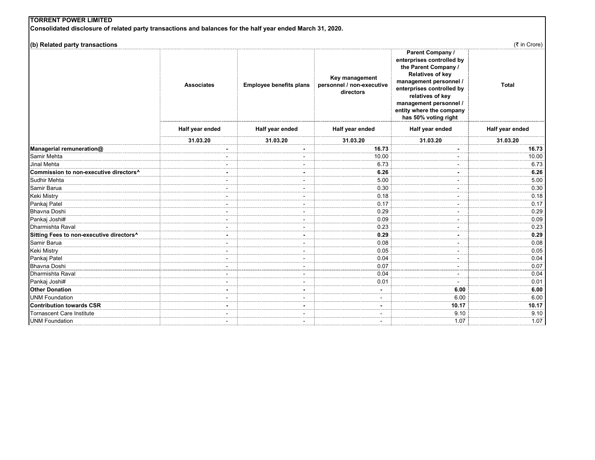| (b) Related party transactions                     |                   |                                |                                                          |                                                                                                                                                                                                                                                           | (₹ in Crore)    |
|----------------------------------------------------|-------------------|--------------------------------|----------------------------------------------------------|-----------------------------------------------------------------------------------------------------------------------------------------------------------------------------------------------------------------------------------------------------------|-----------------|
|                                                    | <b>Associates</b> | <b>Employee benefits plans</b> | Key management<br>personnel / non-executive<br>directors | Parent Company /<br>enterprises controlled by<br>the Parent Company /<br><b>Relatives of key</b><br>management personnel /<br>enterprises controlled by<br>relatives of key<br>management personnel /<br>entity where the company<br>has 50% voting right | <b>Total</b>    |
|                                                    | Half year ended   | Half year ended                | Half year ended                                          | Half year ended                                                                                                                                                                                                                                           | Half year ended |
|                                                    | 31.03.20          | 31.03.20                       | 31.03.20                                                 | 31.03.20                                                                                                                                                                                                                                                  | 31.03.20        |
| Managerial remuneration@                           |                   |                                | 16.73                                                    |                                                                                                                                                                                                                                                           | 16.73           |
| Samir Mehta                                        |                   |                                | 10.00                                                    |                                                                                                                                                                                                                                                           | 10.00           |
| Jinal Mehta                                        |                   |                                | 6.73                                                     |                                                                                                                                                                                                                                                           | 6.73            |
| Commission to non-executive directors <sup>^</sup> |                   |                                | 6.26                                                     |                                                                                                                                                                                                                                                           | 6.26            |
| Sudhir Mehta                                       |                   |                                | 5.00                                                     |                                                                                                                                                                                                                                                           | 5.00            |
| Samir Barua                                        |                   |                                | 0.30                                                     |                                                                                                                                                                                                                                                           | 0.30            |
| Keki Mistry                                        |                   |                                | 0.18                                                     |                                                                                                                                                                                                                                                           | 0.18            |
| Pankaj Patel                                       |                   |                                | 0.17                                                     |                                                                                                                                                                                                                                                           | 0.17            |
| <b>Bhavna Doshi</b>                                |                   |                                | 0.29                                                     |                                                                                                                                                                                                                                                           | 0.29            |
| Pankaj Joshi#                                      |                   |                                | 0.09                                                     |                                                                                                                                                                                                                                                           | 0.09            |
| Dharmishta Raval                                   |                   |                                | 0.23                                                     |                                                                                                                                                                                                                                                           | 0.23            |
| Sitting Fees to non-executive directors^           |                   |                                | 0.29                                                     |                                                                                                                                                                                                                                                           | 0.29            |
| Samir Barua                                        |                   |                                | 0.08                                                     |                                                                                                                                                                                                                                                           | 0.08            |
| <b>Keki Mistry</b>                                 |                   |                                | 0.05                                                     |                                                                                                                                                                                                                                                           | 0.05            |
| Pankaj Patel                                       |                   |                                | 0.04                                                     |                                                                                                                                                                                                                                                           | 0.04            |
| <b>Bhavna Doshi</b>                                |                   |                                | 0.07                                                     |                                                                                                                                                                                                                                                           | 0.07            |
| Dharmishta Raval                                   |                   |                                | 0.04                                                     |                                                                                                                                                                                                                                                           | 0.04            |
| Pankaj Joshi#                                      |                   |                                | 0.01                                                     |                                                                                                                                                                                                                                                           | 0.01            |
| <b>Other Donation</b>                              |                   |                                |                                                          | 6.00                                                                                                                                                                                                                                                      | 6.00            |
| <b>UNM Foundation</b>                              |                   |                                |                                                          | 6.00                                                                                                                                                                                                                                                      | 6.00            |
| <b>Contribution towards CSR</b>                    |                   |                                |                                                          | 10.17                                                                                                                                                                                                                                                     | 10.17           |
| <b>Tornascent Care Institute</b>                   |                   |                                |                                                          | 9.10                                                                                                                                                                                                                                                      | 9.10            |
| <b>UNM Foundation</b>                              |                   |                                |                                                          | 1.07                                                                                                                                                                                                                                                      | 1.07            |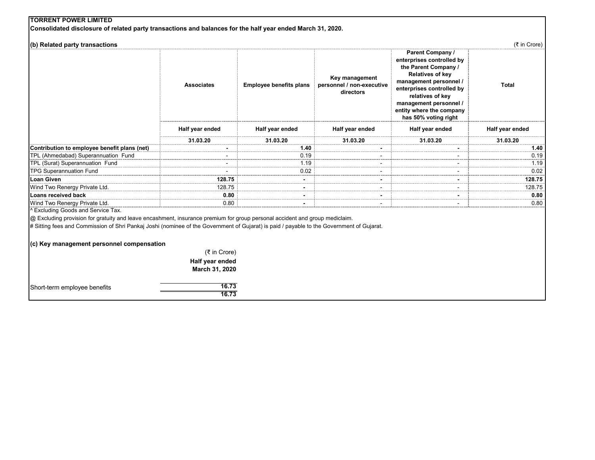| (b) Related party transactions                                                                                                            |                   |                                |                                                          |                                                                                                                                                                                                                                                    | (₹ in Crore)    |
|-------------------------------------------------------------------------------------------------------------------------------------------|-------------------|--------------------------------|----------------------------------------------------------|----------------------------------------------------------------------------------------------------------------------------------------------------------------------------------------------------------------------------------------------------|-----------------|
|                                                                                                                                           | <b>Associates</b> | <b>Employee benefits plans</b> | Key management<br>personnel / non-executive<br>directors | Parent Company /<br>enterprises controlled by<br>the Parent Company /<br>Relatives of key<br>management personnel /<br>enterprises controlled by<br>relatives of key<br>management personnel /<br>entity where the company<br>has 50% voting right | <b>Total</b>    |
|                                                                                                                                           | Half year ended   | Half year ended                | Half year ended                                          | Half year ended                                                                                                                                                                                                                                    | Half year ended |
|                                                                                                                                           | 31.03.20          | 31.03.20                       | 31.03.20                                                 | 31.03.20                                                                                                                                                                                                                                           | 31.03.20        |
| Contribution to employee benefit plans (net)                                                                                              |                   | 1.40                           |                                                          |                                                                                                                                                                                                                                                    | 1.40            |
| TPL (Ahmedabad) Superannuation Fund                                                                                                       |                   | 0.19                           |                                                          |                                                                                                                                                                                                                                                    | 0.19            |
| TPL (Surat) Superannuation Fund                                                                                                           |                   | 1.19                           |                                                          |                                                                                                                                                                                                                                                    | 1.19            |
| <b>TPG Superannuation Fund</b>                                                                                                            |                   | 0.02                           |                                                          |                                                                                                                                                                                                                                                    | 0.02            |
| <b>Loan Given</b>                                                                                                                         | 128.75            |                                |                                                          |                                                                                                                                                                                                                                                    | 128.75          |
| Wind Two Renergy Private Ltd.                                                                                                             | 128.75            |                                |                                                          |                                                                                                                                                                                                                                                    | 128.75          |
| Loans received back                                                                                                                       | 0.80              |                                |                                                          |                                                                                                                                                                                                                                                    | 0.80            |
| Wind Two Renergy Private Ltd.                                                                                                             | 0.80              |                                |                                                          |                                                                                                                                                                                                                                                    | 0.80            |
| <b>Excluding Goods and Service Tax.</b>                                                                                                   |                   |                                |                                                          |                                                                                                                                                                                                                                                    |                 |
| @ Excluding provision for gratuity and leave encashment, insurance premium for group personal accident and group mediclaim.               |                   |                                |                                                          |                                                                                                                                                                                                                                                    |                 |
| # Sitting fees and Commission of Shri Pankaj Joshi (nominee of the Government of Gujarat) is paid / payable to the Government of Gujarat. |                   |                                |                                                          |                                                                                                                                                                                                                                                    |                 |
|                                                                                                                                           |                   |                                |                                                          |                                                                                                                                                                                                                                                    |                 |
| (c) Key management personnel compensation                                                                                                 |                   |                                |                                                          |                                                                                                                                                                                                                                                    |                 |
|                                                                                                                                           | (₹ in Crore)      |                                |                                                          |                                                                                                                                                                                                                                                    |                 |
|                                                                                                                                           | Half year ended   |                                |                                                          |                                                                                                                                                                                                                                                    |                 |
|                                                                                                                                           | March 31, 2020    |                                |                                                          |                                                                                                                                                                                                                                                    |                 |

 **16.73**